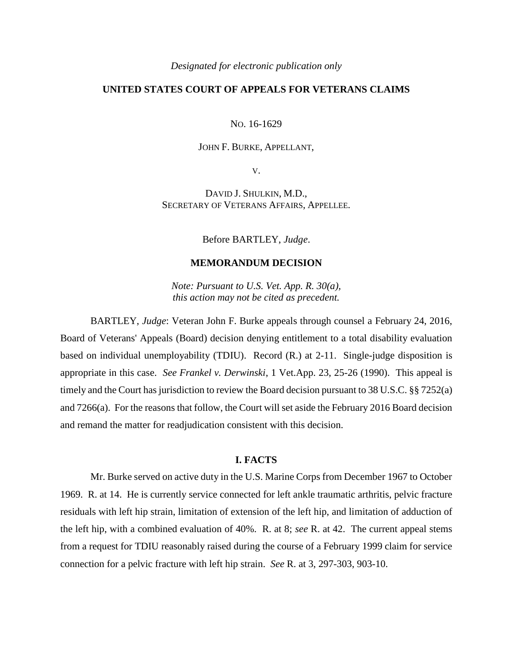#### *Designated for electronic publication only*

# **UNITED STATES COURT OF APPEALS FOR VETERANS CLAIMS**

NO. 16-1629

### JOHN F. BURKE, APPELLANT,

V.

DAVID J. SHULKIN, M.D., SECRETARY OF VETERANS AFFAIRS, APPELLEE.

Before BARTLEY, *Judge*.

#### **MEMORANDUM DECISION**

*Note: Pursuant to U.S. Vet. App. R. 30(a), this action may not be cited as precedent.*

BARTLEY, *Judge*: Veteran John F. Burke appeals through counsel a February 24, 2016, Board of Veterans' Appeals (Board) decision denying entitlement to a total disability evaluation based on individual unemployability (TDIU). Record (R.) at 2-11. Single-judge disposition is appropriate in this case. *See Frankel v. Derwinski*, 1 Vet.App. 23, 25-26 (1990). This appeal is timely and the Court has jurisdiction to review the Board decision pursuant to 38 U.S.C. §§ 7252(a) and 7266(a). For the reasons that follow, the Court will set aside the February 2016 Board decision and remand the matter for readjudication consistent with this decision.

### **I. FACTS**

Mr. Burke served on active duty in the U.S. Marine Corps from December 1967 to October 1969. R. at 14. He is currently service connected for left ankle traumatic arthritis, pelvic fracture residuals with left hip strain, limitation of extension of the left hip, and limitation of adduction of the left hip, with a combined evaluation of 40%. R. at 8; *see* R. at 42. The current appeal stems from a request for TDIU reasonably raised during the course of a February 1999 claim for service connection for a pelvic fracture with left hip strain. *See* R. at 3, 297-303, 903-10.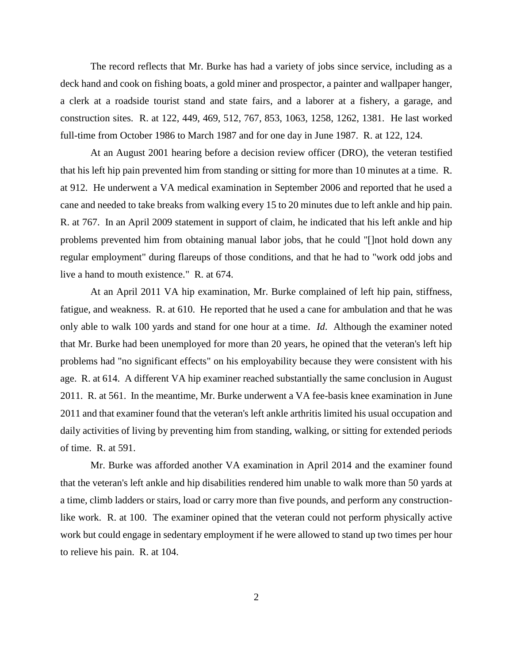The record reflects that Mr. Burke has had a variety of jobs since service, including as a deck hand and cook on fishing boats, a gold miner and prospector, a painter and wallpaper hanger, a clerk at a roadside tourist stand and state fairs, and a laborer at a fishery, a garage, and construction sites. R. at 122, 449, 469, 512, 767, 853, 1063, 1258, 1262, 1381. He last worked full-time from October 1986 to March 1987 and for one day in June 1987. R. at 122, 124.

At an August 2001 hearing before a decision review officer (DRO), the veteran testified that his left hip pain prevented him from standing or sitting for more than 10 minutes at a time. R. at 912. He underwent a VA medical examination in September 2006 and reported that he used a cane and needed to take breaks from walking every 15 to 20 minutes due to left ankle and hip pain. R. at 767. In an April 2009 statement in support of claim, he indicated that his left ankle and hip problems prevented him from obtaining manual labor jobs, that he could "[]not hold down any regular employment" during flareups of those conditions, and that he had to "work odd jobs and live a hand to mouth existence." R. at 674.

At an April 2011 VA hip examination, Mr. Burke complained of left hip pain, stiffness, fatigue, and weakness. R. at 610. He reported that he used a cane for ambulation and that he was only able to walk 100 yards and stand for one hour at a time. *Id*. Although the examiner noted that Mr. Burke had been unemployed for more than 20 years, he opined that the veteran's left hip problems had "no significant effects" on his employability because they were consistent with his age. R. at 614. A different VA hip examiner reached substantially the same conclusion in August 2011. R. at 561. In the meantime, Mr. Burke underwent a VA fee-basis knee examination in June 2011 and that examiner found that the veteran's left ankle arthritis limited his usual occupation and daily activities of living by preventing him from standing, walking, or sitting for extended periods of time. R. at 591.

Mr. Burke was afforded another VA examination in April 2014 and the examiner found that the veteran's left ankle and hip disabilities rendered him unable to walk more than 50 yards at a time, climb ladders or stairs, load or carry more than five pounds, and perform any constructionlike work. R. at 100. The examiner opined that the veteran could not perform physically active work but could engage in sedentary employment if he were allowed to stand up two times per hour to relieve his pain. R. at 104.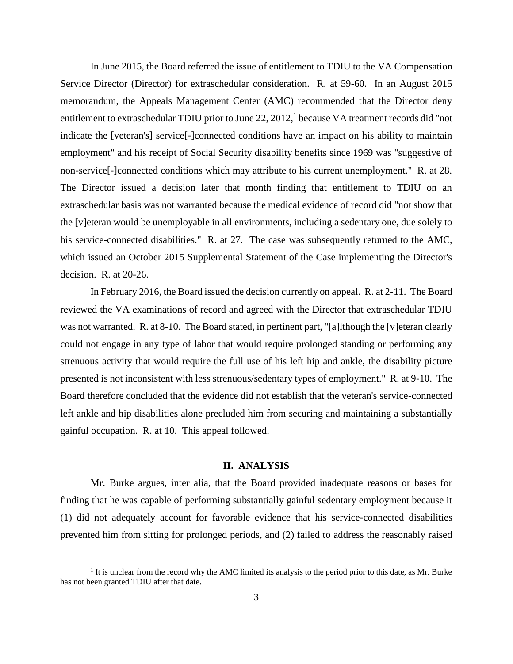In June 2015, the Board referred the issue of entitlement to TDIU to the VA Compensation Service Director (Director) for extraschedular consideration. R. at 59-60. In an August 2015 memorandum, the Appeals Management Center (AMC) recommended that the Director deny entitlement to extraschedular TDIU prior to June 22, 2012,<sup>1</sup> because VA treatment records did "not indicate the [veteran's] service[-]connected conditions have an impact on his ability to maintain employment" and his receipt of Social Security disability benefits since 1969 was "suggestive of non-service[-]connected conditions which may attribute to his current unemployment." R. at 28. The Director issued a decision later that month finding that entitlement to TDIU on an extraschedular basis was not warranted because the medical evidence of record did "not show that the [v]eteran would be unemployable in all environments, including a sedentary one, due solely to his service-connected disabilities." R. at 27. The case was subsequently returned to the AMC, which issued an October 2015 Supplemental Statement of the Case implementing the Director's decision. R. at 20-26.

In February 2016, the Board issued the decision currently on appeal. R. at 2-11. The Board reviewed the VA examinations of record and agreed with the Director that extraschedular TDIU was not warranted. R. at 8-10. The Board stated, in pertinent part, "[a]lthough the [v] eteran clearly could not engage in any type of labor that would require prolonged standing or performing any strenuous activity that would require the full use of his left hip and ankle, the disability picture presented is not inconsistent with less strenuous/sedentary types of employment." R. at 9-10. The Board therefore concluded that the evidence did not establish that the veteran's service-connected left ankle and hip disabilities alone precluded him from securing and maintaining a substantially gainful occupation. R. at 10. This appeal followed.

## **II. ANALYSIS**

Mr. Burke argues, inter alia, that the Board provided inadequate reasons or bases for finding that he was capable of performing substantially gainful sedentary employment because it (1) did not adequately account for favorable evidence that his service-connected disabilities prevented him from sitting for prolonged periods, and (2) failed to address the reasonably raised

 $\overline{a}$ 

<sup>&</sup>lt;sup>1</sup> It is unclear from the record why the AMC limited its analysis to the period prior to this date, as Mr. Burke has not been granted TDIU after that date.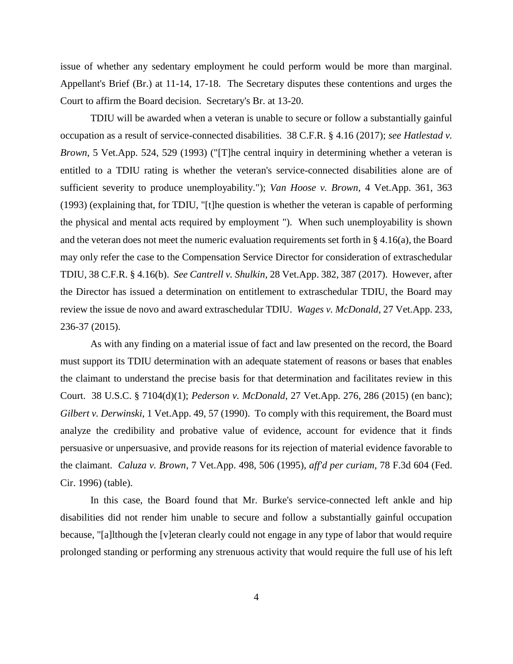issue of whether any sedentary employment he could perform would be more than marginal. Appellant's Brief (Br.) at 11-14, 17-18. The Secretary disputes these contentions and urges the Court to affirm the Board decision. Secretary's Br. at 13-20.

TDIU will be awarded when a veteran is unable to secure or follow a substantially gainful occupation as a result of service-connected disabilities. 38 C.F.R. § 4.16 (2017); *see Hatlestad v. Brown*, 5 Vet.App. 524, 529 (1993) ("[T]he central inquiry in determining whether a veteran is entitled to a TDIU rating is whether the veteran's service-connected disabilities alone are of sufficient severity to produce unemployability."); *Van Hoose v. Brown*, 4 Vet.App. 361, 363 (1993) (explaining that, for TDIU, "[t]he question is whether the veteran is capable of performing the physical and mental acts required by employment "). When such unemployability is shown and the veteran does not meet the numeric evaluation requirements set forth in § 4.16(a), the Board may only refer the case to the Compensation Service Director for consideration of extraschedular TDIU, 38 C.F.R. § 4.16(b). *See Cantrell v. Shulkin*, 28 Vet.App. 382, 387 (2017). However, after the Director has issued a determination on entitlement to extraschedular TDIU, the Board may review the issue de novo and award extraschedular TDIU. *Wages v. McDonald*, 27 Vet.App. 233, 236-37 (2015).

As with any finding on a material issue of fact and law presented on the record, the Board must support its TDIU determination with an adequate statement of reasons or bases that enables the claimant to understand the precise basis for that determination and facilitates review in this Court. 38 U.S.C. § 7104(d)(1); *Pederson v. McDonald*, 27 Vet.App. 276, 286 (2015) (en banc); *Gilbert v. Derwinski*, 1 Vet.App. 49, 57 (1990). To comply with this requirement, the Board must analyze the credibility and probative value of evidence, account for evidence that it finds persuasive or unpersuasive, and provide reasons for its rejection of material evidence favorable to the claimant. *Caluza v. Brown*, 7 Vet.App. 498, 506 (1995), *aff'd per curiam*, 78 F.3d 604 (Fed. Cir. 1996) (table).

In this case, the Board found that Mr. Burke's service-connected left ankle and hip disabilities did not render him unable to secure and follow a substantially gainful occupation because, "[a]lthough the [v]eteran clearly could not engage in any type of labor that would require prolonged standing or performing any strenuous activity that would require the full use of his left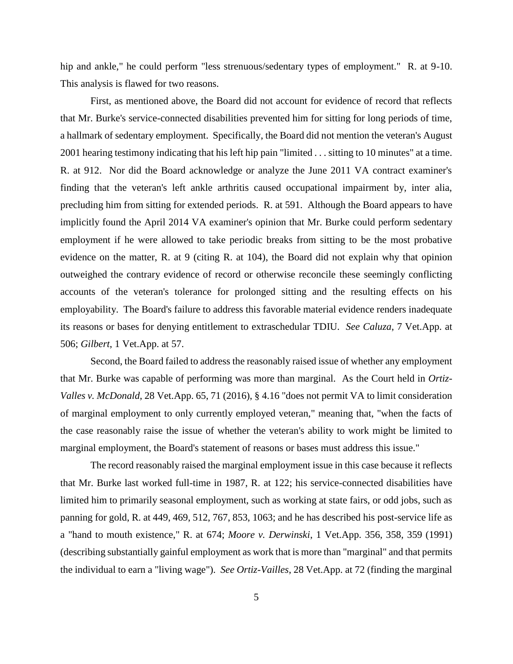hip and ankle," he could perform "less strenuous/sedentary types of employment." R. at 9-10. This analysis is flawed for two reasons.

First, as mentioned above, the Board did not account for evidence of record that reflects that Mr. Burke's service-connected disabilities prevented him for sitting for long periods of time, a hallmark of sedentary employment. Specifically, the Board did not mention the veteran's August 2001 hearing testimony indicating that his left hip pain "limited . . . sitting to 10 minutes" at a time. R. at 912. Nor did the Board acknowledge or analyze the June 2011 VA contract examiner's finding that the veteran's left ankle arthritis caused occupational impairment by, inter alia, precluding him from sitting for extended periods. R. at 591. Although the Board appears to have implicitly found the April 2014 VA examiner's opinion that Mr. Burke could perform sedentary employment if he were allowed to take periodic breaks from sitting to be the most probative evidence on the matter, R. at 9 (citing R. at 104), the Board did not explain why that opinion outweighed the contrary evidence of record or otherwise reconcile these seemingly conflicting accounts of the veteran's tolerance for prolonged sitting and the resulting effects on his employability. The Board's failure to address this favorable material evidence renders inadequate its reasons or bases for denying entitlement to extraschedular TDIU. *See Caluza*, 7 Vet.App. at 506; *Gilbert*, 1 Vet.App. at 57.

Second, the Board failed to address the reasonably raised issue of whether any employment that Mr. Burke was capable of performing was more than marginal. As the Court held in *Ortiz-Valles v. McDonald*, 28 Vet.App. 65, 71 (2016), § 4.16 "does not permit VA to limit consideration of marginal employment to only currently employed veteran," meaning that, "when the facts of the case reasonably raise the issue of whether the veteran's ability to work might be limited to marginal employment, the Board's statement of reasons or bases must address this issue."

The record reasonably raised the marginal employment issue in this case because it reflects that Mr. Burke last worked full-time in 1987, R. at 122; his service-connected disabilities have limited him to primarily seasonal employment, such as working at state fairs, or odd jobs, such as panning for gold, R. at 449, 469, 512, 767, 853, 1063; and he has described his post-service life as a "hand to mouth existence," R. at 674; *Moore v. Derwinski*, 1 Vet.App. 356, 358, 359 (1991) (describing substantially gainful employment as work that is more than "marginal" and that permits the individual to earn a "living wage"). *See Ortiz-Vailles*, 28 Vet.App. at 72 (finding the marginal